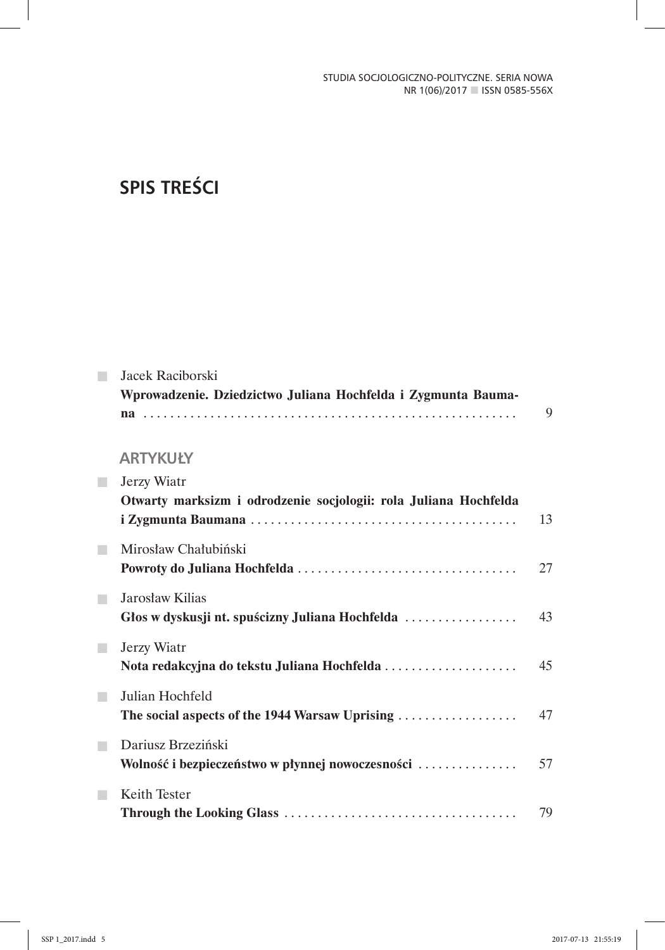# **SPIS TREŚCI**

|   | Jacek Raciborski                                                 |    |
|---|------------------------------------------------------------------|----|
|   | Wprowadzenie. Dziedzictwo Juliana Hochfelda i Zygmunta Bauma-    |    |
|   |                                                                  | 9  |
|   |                                                                  |    |
|   | <b>ARTYKUŁY</b>                                                  |    |
| ٠ | Jerzy Wiatr                                                      |    |
|   | Otwarty marksizm i odrodzenie socjologii: rola Juliana Hochfelda |    |
|   |                                                                  | 13 |
| n | Mirosław Chałubiński                                             |    |
|   |                                                                  | 27 |
|   | Jarosław Kilias                                                  |    |
|   | Głos w dyskusji nt. spuścizny Juliana Hochfelda                  | 43 |
|   |                                                                  |    |
| п | Jerzy Wiatr                                                      |    |
|   | Nota redakcyjna do tekstu Juliana Hochfelda                      | 45 |
| n | Julian Hochfeld                                                  |    |
|   | The social aspects of the 1944 Warsaw Uprising                   | 47 |
|   | Dariusz Brzeziński                                               |    |
|   | Wolność i bezpieczeństwo w płynnej nowoczesności                 | 57 |
|   | Keith Tester                                                     |    |
|   |                                                                  | 79 |
|   |                                                                  |    |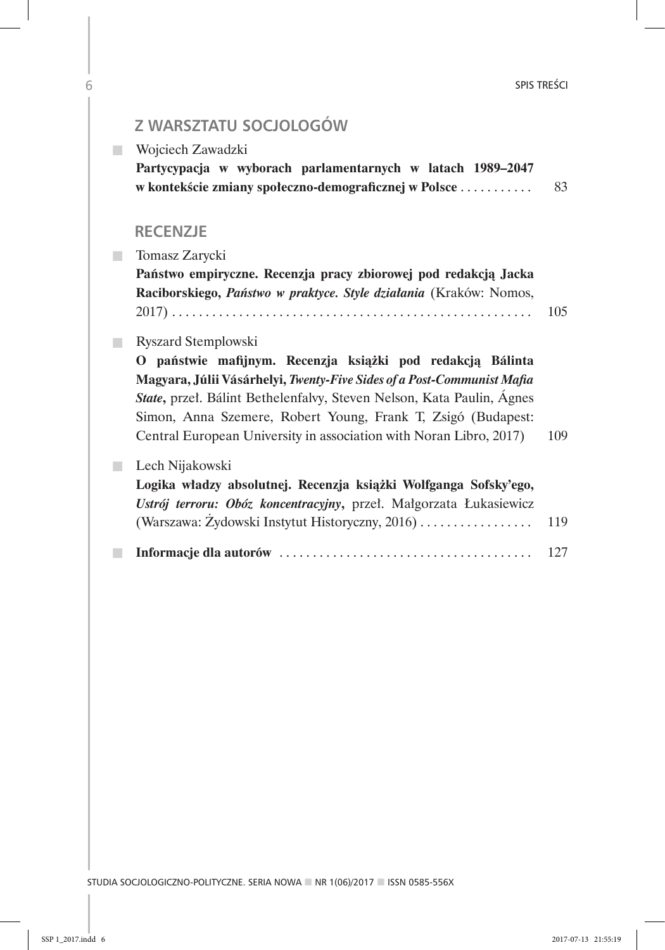| Z WARSZTATU SOCJOLOGÓW                                                                                                                                                                                                                                                                                                                              |     |
|-----------------------------------------------------------------------------------------------------------------------------------------------------------------------------------------------------------------------------------------------------------------------------------------------------------------------------------------------------|-----|
| Wojciech Zawadzki                                                                                                                                                                                                                                                                                                                                   |     |
| Partycypacja w wyborach parlamentarnych w latach 1989-2047<br>w kontekście zmiany społeczno-demograficznej w Polsce                                                                                                                                                                                                                                 | 83  |
| <b>RECENZJE</b>                                                                                                                                                                                                                                                                                                                                     |     |
| Tomasz Zarycki                                                                                                                                                                                                                                                                                                                                      |     |
| Państwo empiryczne. Recenzja pracy zbiorowej pod redakcją Jacka<br>Raciborskiego, Państwo w praktyce. Style działania (Kraków: Nomos,                                                                                                                                                                                                               | 105 |
| Ryszard Stemplowski                                                                                                                                                                                                                                                                                                                                 |     |
| O państwie mafijnym. Recenzja książki pod redakcją Bálinta<br>Magyara, Júlii Vásárhelyi, Twenty-Five Sides of a Post-Communist Mafia<br>State, przeł. Bálint Bethelenfalvy, Steven Nelson, Kata Paulin, Ágnes<br>Simon, Anna Szemere, Robert Young, Frank T, Zsigó (Budapest:<br>Central European University in association with Noran Libro, 2017) | 109 |
| Lech Nijakowski<br>Logika władzy absolutnej. Recenzja książki Wolfganga Sofsky'ego,<br>Ustrój terroru: Obóz koncentracyjny, przeł. Małgorzata Łukasiewicz<br>(Warszawa: Żydowski Instytut Historyczny, 2016)                                                                                                                                        | 119 |
|                                                                                                                                                                                                                                                                                                                                                     | 127 |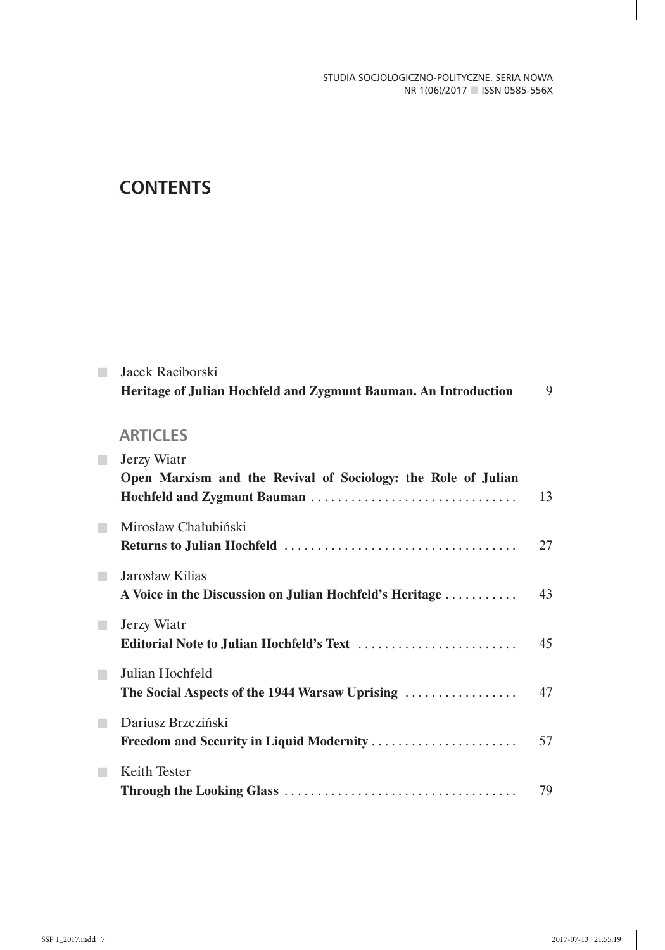## **CONTENTS**

|            | Jacek Raciborski<br>Heritage of Julian Hochfeld and Zygmunt Bauman. An Introduction |    |  |  |  |  |  |  |
|------------|-------------------------------------------------------------------------------------|----|--|--|--|--|--|--|
|            | <b>ARTICLES</b>                                                                     |    |  |  |  |  |  |  |
| <b>COL</b> | Jerzy Wiatr<br>Open Marxism and the Revival of Sociology: the Role of Julian        | 13 |  |  |  |  |  |  |
|            | Mirosław Chałubiński                                                                | 27 |  |  |  |  |  |  |
| ٠          | Jarosław Kilias<br>A Voice in the Discussion on Julian Hochfeld's Heritage          | 43 |  |  |  |  |  |  |
| m.         | Jerzy Wiatr<br>Editorial Note to Julian Hochfeld's Text                             | 45 |  |  |  |  |  |  |
| <b>COL</b> | Julian Hochfeld<br>The Social Aspects of the 1944 Warsaw Uprising                   | 47 |  |  |  |  |  |  |
|            | Dariusz Brzeziński<br>Freedom and Security in Liquid Modernity                      | 57 |  |  |  |  |  |  |
|            | Keith Tester                                                                        | 79 |  |  |  |  |  |  |